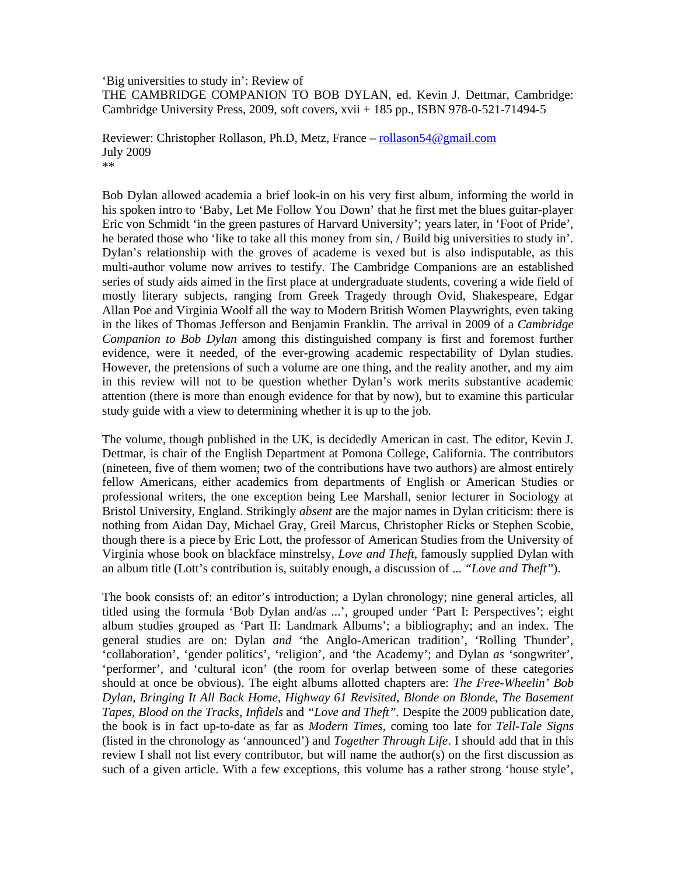'Big universities to study in': Review of THE CAMBRIDGE COMPANION TO BOB DYLAN, ed. Kevin J. Dettmar, Cambridge: Cambridge University Press, 2009, soft covers, xvii + 185 pp., ISBN 978-0-521-71494-5

Reviewer: Christopher Rollason, Ph.D, Metz, France – rollason54@gmail.com July 2009 \*\*

Bob Dylan allowed academia a brief look-in on his very first album, informing the world in his spoken intro to 'Baby, Let Me Follow You Down' that he first met the blues guitar-player Eric von Schmidt 'in the green pastures of Harvard University'; years later, in 'Foot of Pride', he berated those who 'like to take all this money from sin, / Build big universities to study in'. Dylan's relationship with the groves of academe is vexed but is also indisputable, as this multi-author volume now arrives to testify. The Cambridge Companions are an established series of study aids aimed in the first place at undergraduate students, covering a wide field of mostly literary subjects, ranging from Greek Tragedy through Ovid, Shakespeare, Edgar Allan Poe and Virginia Woolf all the way to Modern British Women Playwrights, even taking in the likes of Thomas Jefferson and Benjamin Franklin. The arrival in 2009 of a *Cambridge Companion to Bob Dylan* among this distinguished company is first and foremost further evidence, were it needed, of the ever-growing academic respectability of Dylan studies. However, the pretensions of such a volume are one thing, and the reality another, and my aim in this review will not to be question whether Dylan's work merits substantive academic attention (there is more than enough evidence for that by now), but to examine this particular study guide with a view to determining whether it is up to the job.

The volume, though published in the UK, is decidedly American in cast. The editor, Kevin J. Dettmar, is chair of the English Department at Pomona College, California. The contributors (nineteen, five of them women; two of the contributions have two authors) are almost entirely fellow Americans, either academics from departments of English or American Studies or professional writers, the one exception being Lee Marshall, senior lecturer in Sociology at Bristol University, England. Strikingly *absent* are the major names in Dylan criticism: there is nothing from Aidan Day, Michael Gray, Greil Marcus, Christopher Ricks or Stephen Scobie, though there is a piece by Eric Lott, the professor of American Studies from the University of Virginia whose book on blackface minstrelsy, *Love and Theft*, famously supplied Dylan with an album title (Lott's contribution is, suitably enough, a discussion of ... *"Love and Theft"*).

The book consists of: an editor's introduction; a Dylan chronology; nine general articles, all titled using the formula 'Bob Dylan and/as ...', grouped under 'Part I: Perspectives'; eight album studies grouped as 'Part II: Landmark Albums'; a bibliography; and an index. The general studies are on: Dylan *and* 'the Anglo-American tradition', 'Rolling Thunder', 'collaboration', 'gender politics', 'religion', and 'the Academy'; and Dylan *as* 'songwriter', 'performer', and 'cultural icon' (the room for overlap between some of these categories should at once be obvious). The eight albums allotted chapters are: *The Free-Wheelin' Bob Dylan*, *Bringing It All Back Home, Highway 61 Revisited*, *Blonde on Blonde*, *The Basement Tapes*, *Blood on the Tracks*, *Infidels* and *"Love and Theft".* Despite the 2009 publication date, the book is in fact up-to-date as far as *Modern Times*, coming too late for *Tell-Tale Signs* (listed in the chronology as 'announced') and *Together Through Life*. I should add that in this review I shall not list every contributor, but will name the author(s) on the first discussion as such of a given article. With a few exceptions, this volume has a rather strong 'house style',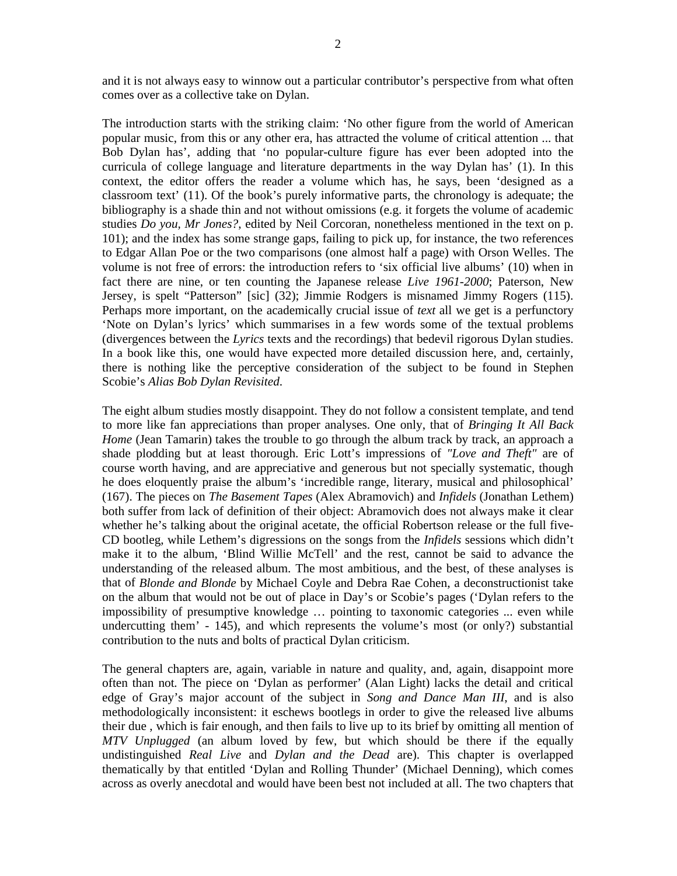and it is not always easy to winnow out a particular contributor's perspective from what often comes over as a collective take on Dylan.

The introduction starts with the striking claim: 'No other figure from the world of American popular music, from this or any other era, has attracted the volume of critical attention ... that Bob Dylan has', adding that 'no popular-culture figure has ever been adopted into the curricula of college language and literature departments in the way Dylan has' (1). In this context, the editor offers the reader a volume which has, he says, been 'designed as a classroom text' (11). Of the book's purely informative parts, the chronology is adequate; the bibliography is a shade thin and not without omissions (e.g. it forgets the volume of academic studies *Do you, Mr Jones?*, edited by Neil Corcoran, nonetheless mentioned in the text on p. 101); and the index has some strange gaps, failing to pick up, for instance, the two references to Edgar Allan Poe or the two comparisons (one almost half a page) with Orson Welles. The volume is not free of errors: the introduction refers to 'six official live albums' (10) when in fact there are nine, or ten counting the Japanese release *Live 1961-2000*; Paterson, New Jersey, is spelt "Patterson" [sic] (32); Jimmie Rodgers is misnamed Jimmy Rogers (115). Perhaps more important, on the academically crucial issue of *text* all we get is a perfunctory 'Note on Dylan's lyrics' which summarises in a few words some of the textual problems (divergences between the *Lyrics* texts and the recordings) that bedevil rigorous Dylan studies. In a book like this, one would have expected more detailed discussion here, and, certainly, there is nothing like the perceptive consideration of the subject to be found in Stephen Scobie's *Alias Bob Dylan Revisited*.

The eight album studies mostly disappoint. They do not follow a consistent template, and tend to more like fan appreciations than proper analyses. One only, that of *Bringing It All Back Home* (Jean Tamarin) takes the trouble to go through the album track by track, an approach a shade plodding but at least thorough. Eric Lott's impressions of *"Love and Theft"* are of course worth having, and are appreciative and generous but not specially systematic, though he does eloquently praise the album's 'incredible range, literary, musical and philosophical' (167). The pieces on *The Basement Tapes* (Alex Abramovich) and *Infidels* (Jonathan Lethem) both suffer from lack of definition of their object: Abramovich does not always make it clear whether he's talking about the original acetate, the official Robertson release or the full five-CD bootleg, while Lethem's digressions on the songs from the *Infidels* sessions which didn't make it to the album, 'Blind Willie McTell' and the rest, cannot be said to advance the understanding of the released album. The most ambitious, and the best, of these analyses is that of *Blonde and Blonde* by Michael Coyle and Debra Rae Cohen, a deconstructionist take on the album that would not be out of place in Day's or Scobie's pages ('Dylan refers to the impossibility of presumptive knowledge … pointing to taxonomic categories ... even while undercutting them' - 145), and which represents the volume's most (or only?) substantial contribution to the nuts and bolts of practical Dylan criticism.

The general chapters are, again, variable in nature and quality, and, again, disappoint more often than not. The piece on 'Dylan as performer' (Alan Light) lacks the detail and critical edge of Gray's major account of the subject in *Song and Dance Man III*, and is also methodologically inconsistent: it eschews bootlegs in order to give the released live albums their due , which is fair enough, and then fails to live up to its brief by omitting all mention of *MTV Unplugged* (an album loved by few, but which should be there if the equally undistinguished *Real Live* and *Dylan and the Dead* are). This chapter is overlapped thematically by that entitled 'Dylan and Rolling Thunder' (Michael Denning), which comes across as overly anecdotal and would have been best not included at all. The two chapters that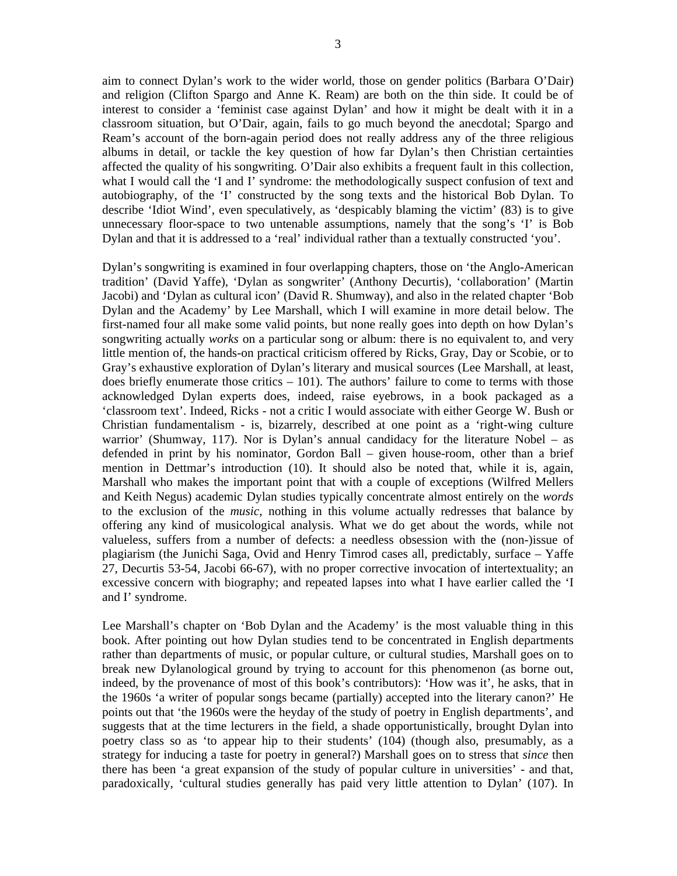aim to connect Dylan's work to the wider world, those on gender politics (Barbara O'Dair) and religion (Clifton Spargo and Anne K. Ream) are both on the thin side. It could be of interest to consider a 'feminist case against Dylan' and how it might be dealt with it in a classroom situation, but O'Dair, again, fails to go much beyond the anecdotal; Spargo and Ream's account of the born-again period does not really address any of the three religious albums in detail, or tackle the key question of how far Dylan's then Christian certainties affected the quality of his songwriting. O'Dair also exhibits a frequent fault in this collection, what I would call the 'I and I' syndrome: the methodologically suspect confusion of text and autobiography, of the 'I' constructed by the song texts and the historical Bob Dylan. To describe 'Idiot Wind', even speculatively, as 'despicably blaming the victim' (83) is to give unnecessary floor-space to two untenable assumptions, namely that the song's 'I' is Bob Dylan and that it is addressed to a 'real' individual rather than a textually constructed 'you'.

Dylan's songwriting is examined in four overlapping chapters, those on 'the Anglo-American tradition' (David Yaffe), 'Dylan as songwriter' (Anthony Decurtis), 'collaboration' (Martin Jacobi) and 'Dylan as cultural icon' (David R. Shumway), and also in the related chapter 'Bob Dylan and the Academy' by Lee Marshall, which I will examine in more detail below. The first-named four all make some valid points, but none really goes into depth on how Dylan's songwriting actually *works* on a particular song or album: there is no equivalent to, and very little mention of, the hands-on practical criticism offered by Ricks, Gray, Day or Scobie, or to Gray's exhaustive exploration of Dylan's literary and musical sources (Lee Marshall, at least, does briefly enumerate those critics – 101). The authors' failure to come to terms with those acknowledged Dylan experts does, indeed, raise eyebrows, in a book packaged as a 'classroom text'. Indeed, Ricks - not a critic I would associate with either George W. Bush or Christian fundamentalism - is, bizarrely, described at one point as a 'right-wing culture warrior' (Shumway, 117). Nor is Dylan's annual candidacy for the literature Nobel – as defended in print by his nominator, Gordon Ball – given house-room, other than a brief mention in Dettmar's introduction (10). It should also be noted that, while it is, again, Marshall who makes the important point that with a couple of exceptions (Wilfred Mellers and Keith Negus) academic Dylan studies typically concentrate almost entirely on the *words* to the exclusion of the *music*, nothing in this volume actually redresses that balance by offering any kind of musicological analysis. What we do get about the words, while not valueless, suffers from a number of defects: a needless obsession with the (non-)issue of plagiarism (the Junichi Saga, Ovid and Henry Timrod cases all, predictably, surface – Yaffe 27, Decurtis 53-54, Jacobi 66-67), with no proper corrective invocation of intertextuality; an excessive concern with biography; and repeated lapses into what I have earlier called the 'I and I' syndrome.

Lee Marshall's chapter on 'Bob Dylan and the Academy' is the most valuable thing in this book. After pointing out how Dylan studies tend to be concentrated in English departments rather than departments of music, or popular culture, or cultural studies, Marshall goes on to break new Dylanological ground by trying to account for this phenomenon (as borne out, indeed, by the provenance of most of this book's contributors): 'How was it', he asks, that in the 1960s 'a writer of popular songs became (partially) accepted into the literary canon?' He points out that 'the 1960s were the heyday of the study of poetry in English departments', and suggests that at the time lecturers in the field, a shade opportunistically, brought Dylan into poetry class so as 'to appear hip to their students' (104) (though also, presumably, as a strategy for inducing a taste for poetry in general?) Marshall goes on to stress that *since* then there has been 'a great expansion of the study of popular culture in universities' - and that, paradoxically, 'cultural studies generally has paid very little attention to Dylan' (107). In